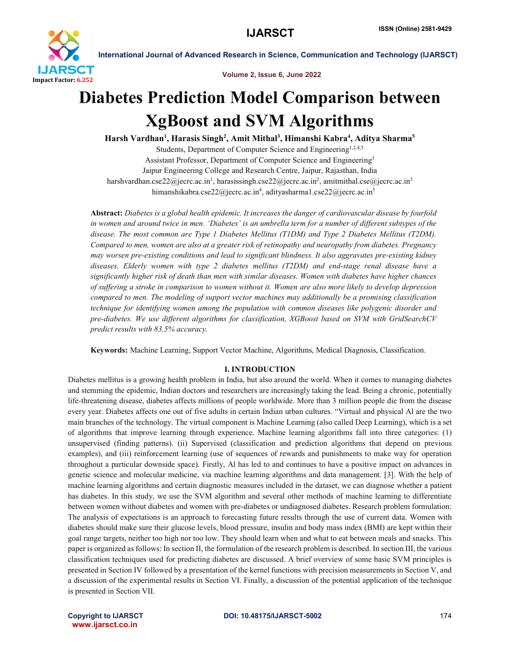

International Journal of Advanced Research in Science, Communication and Technology (IJARSCT)

Volume 2, Issue 6, June 2022

### Diabetes Prediction Model Comparison between XgBoost and SVM Algorithms

Harsh Vardhan<sup>1</sup>, Harasis Singh<sup>2</sup>, Amit Mithal<sup>3</sup>, Himanshi Kabra<sup>4</sup>, Aditya Sharma<sup>5</sup> Students, Department of Computer Science and Engineering<sup>1,2,4,5</sup> Assistant Professor, Department of Computer Science and Engineering3 Jaipur Engineering College and Research Centre, Jaipur, Rajasthan, India harshvardhan.cse22@jecrc.ac.in<sup>1</sup>, harasissingh.cse22@jecrc.ac.in<sup>2</sup>, amitmithal.cse@jecrc.ac.in<sup>3</sup> himanshikabra.cse22@jecrc.ac.in<sup>4</sup>, adityasharma1.cse22@jecrc.ac.in<sup>5</sup>

Abstract: *Diabetes is a global health epidemic. It increases the danger of cardiovascular disease by fourfold in women and around twice in men. 'Diabetes' is an umbrella term for a number of different subtypes of the disease. The most common are Type 1 Diabetes Mellitus (T1DM) and Type 2 Diabetes Mellitus (T2DM). Compared to men, women are also at a greater risk of retinopathy and neuropathy from diabetes. Pregnancy may worsen pre-existing conditions and lead to significant blindness. It also aggravates pre-existing kidney diseases. Elderly women with type 2 diabetes mellitus (T2DM) and end-stage renal disease have a significantly higher risk of death than men with similar diseases. Women with diabetes have higher chances of suffering a stroke in comparison to women without it. Women are also more likely to develop depression compared to men. The modeling of support vector machines may additionally be a promising classification technique for identifying women among the population with common diseases like polygenic disorder and pre-diabetes. We use different algorithms for classification, XGBoost based on SVM with GridSearchCV predict results with 83.5% accuracy.*

Keywords: Machine Learning, Support Vector Machine, Algorithms, Medical Diagnosis, Classification.

#### I. INTRODUCTION

Diabetes mellitus is a growing health problem in India, but also around the world. When it comes to managing diabetes and stemming the epidemic, Indian doctors and researchers are increasingly taking the lead. Being a chronic, potentially life-threatening disease, diabetes affects millions of people worldwide. More than 3 million people die from the disease every year. Diabetes affects one out of five adults in certain Indian urban cultures. "Virtual and physical Al are the two main branches of the technology. The virtual component is Machine Learning (also called Deep Learning), which is a set of algorithms that improve learning through experience. Machine learning algorithms fall into three categories: (1) unsupervised (finding patterns). (ii) Supervised (classification and prediction algorithms that depend on previous examples), and (iii) reinforcement learning (use of sequences of rewards and punishments to make way for operation throughout a particular downside space). Firstly, Al has led to and continues to have a positive impact on advances in genetic science and molecular medicine, via machine learning algorithms and data management. [3]. With the help of machine learning algorithms and certain diagnostic measures included in the dataset, we can diagnose whether a patient has diabetes. In this study, we use the SVM algorithm and several other methods of machine learning to differentiate between women without diabetes and women with pre-diabetes or undiagnosed diabetes. Research problem formulation: The analysis of expectations is an approach to forecasting future results through the use of current data. Women with diabetes should make sure their glucose levels, blood pressure, insulin and body mass index (BMI) are kept within their goal range targets, neither too high nor too low. They should learn when and what to eat between meals and snacks. This paper is organized as follows: In section II, the formulation of the research problem is described. In section III, the various classification techniques used for predicting diabetes are discussed. A brief overview of some basic SVM principles is presented in Section IV followed by a presentation of the kernel functions with precision measurements in Section V, and a discussion of the experimental results in Section VI. Finally, a discussion of the potential application of the technique is presented in Section VII.

www.ijarsct.co.in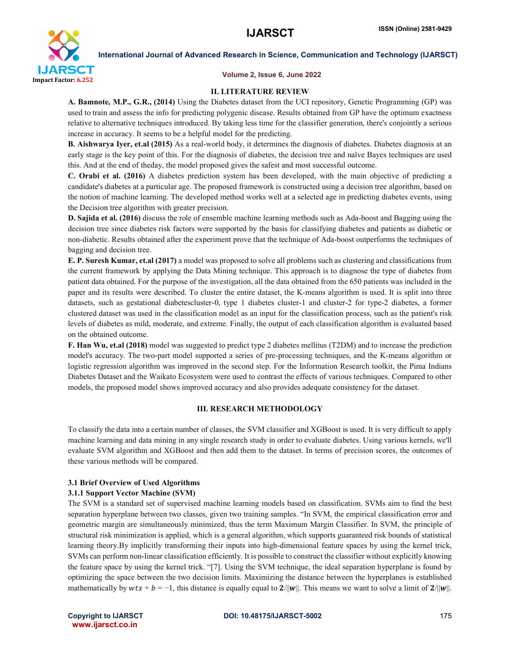

International Journal of Advanced Research in Science, Communication and Technology (IJARSCT)

#### Volume 2, Issue 6, June 2022

#### II. LITERATURE REVIEW

A. Bamnote, M.P., G.R., (2014) Using the Diabetes dataset from the UCI repository, Genetic Programming (GP) was used to train and assess the info for predicting polygenic disease. Results obtained from GP have the optimum exactness relative to alternative techniques introduced. By taking less time for the classifier generation, there's conjointly a serious increase in accuracy. It seems to be a helpful model for the predicting.

B. Aishwarya Iyer, et.al (2015) As a real-world body, it determines the diagnosis of diabetes. Diabetes diagnosis at an early stage is the key point of this. For the diagnosis of diabetes, the decision tree and naïve Bayes techniques are used this. And at the end of theday, the model proposed gives the safest and most successful outcome.

C. Orabi et al. (2016) A diabetes prediction system has been developed, with the main objective of predicting a candidate's diabetes at a particular age. The proposed framework is constructed using a decision tree algorithm, based on the notion of machine learning. The developed method works well at a selected age in predicting diabetes events, using the Decision tree algorithm with greater precision.

D. Sajida et al. (2016) discuss the role of ensemble machine learning methods such as Ada-boost and Bagging using the decision tree since diabetes risk factors were supported by the basis for classifying diabetes and patients as diabetic or non-diabetic. Results obtained after the experiment prove that the technique of Ada-boost outperforms the techniques of bagging and decision tree.

E. P. Suresh Kumar, et.al (2017) a model was proposed to solve all problems such as clustering and classifications from the current framework by applying the Data Mining technique. This approach is to diagnose the type of diabetes from patient data obtained. For the purpose of the investigation, all the data obtained from the 650 patients was included in the paper and its results were described. To cluster the entire dataset, the K-means algorithm is used. It is split into three datasets, such as gestational diabetescluster-0, type 1 diabetes cluster-1 and cluster-2 for type-2 diabetes, a former clustered dataset was used in the classification model as an input for the classification process, such as the patient's risk levels of diabetes as mild, moderate, and extreme. Finally, the output of each classification algorithm is evaluated based on the obtained outcome.

F. Han Wu, et.al (2018) model was suggested to predict type 2 diabetes mellitus (T2DM) and to increase the prediction model's accuracy. The two-part model supported a series of pre-processing techniques, and the K-means algorithm or logistic regression algorithm was improved in the second step. For the Information Research toolkit, the Pima Indians Diabetes Dataset and the Waikato Ecosystem were used to contrast the effects of various techniques. Compared to other models, the proposed model shows improved accuracy and also provides adequate consistency for the dataset.

#### III. RESEARCH METHODOLOGY

To classify the data into a certain number of classes, the SVM classifier and XGBoost is used. It is very difficult to apply machine learning and data mining in any single research study in order to evaluate diabetes. Using various kernels, we'll evaluate SVM algorithm and XGBoost and then add them to the dataset. In terms of precision scores, the outcomes of these various methods will be compared.

#### 3.1 Brief Overview of Used Algorithms

#### 3.1.1 Support Vector Machine (SVM)

The SVM is a standard set of supervised machine learning models based on classification. SVMs aim to find the best separation hyperplane between two classes, given two training samples. "In SVM, the empirical classification error and geometric margin are simultaneously minimized, thus the term Maximum Margin Classifier. In SVM, the principle of structural risk minimization is applied, which is a general algorithm, which supports guaranteed risk bounds of statistical learning theory.By implicitly transforming their inputs into high-dimensional feature spaces by using the kernel trick, SVMs can perform non-linear classification efficiently. It is possible to construct the classifier without explicitly knowing the feature space by using the kernel trick. "[7]. Using the SVM technique, the ideal separation hyperplane is found by optimizing the space between the two decision limits. Maximizing the distance between the hyperplanes is established mathematically by  $wtx + b = -1$ , this distance is equally equal to  $2/||w||$ . This means we want to solve a limit of  $2/||w||$ .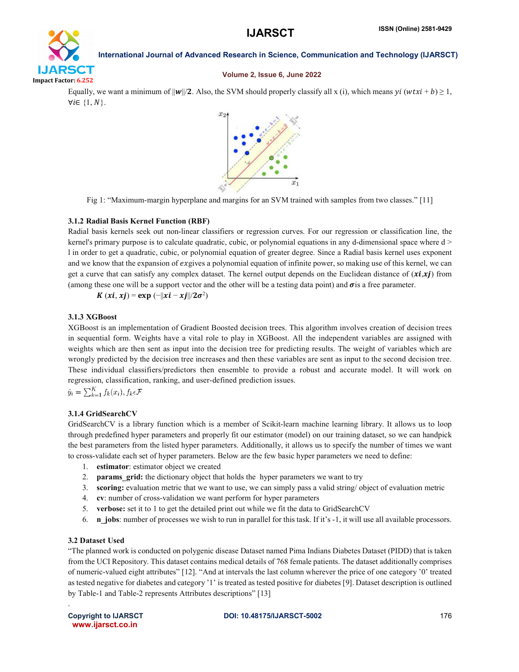## **IJARSCT** Impact Factor: 6.252

International Journal of Advanced Research in Science, Communication and Technology (IJARSCT)

#### Volume 2, Issue 6, June 2022

Equally, we want a minimum of  $||w||/2$ . Also, the SVM should properly classify all x (i), which means  $yi(wtxi + b) \ge 1$ ,  $\forall i \in \{1, N\}.$ 



Fig 1: "Maximum-margin hyperplane and margins for an SVM trained with samples from two classes." [11]

#### 3.1.2 Radial Basis Kernel Function (RBF)

Radial basis kernels seek out non-linear classifiers or regression curves. For our regression or classification line, the kernel's primary purpose is to calculate quadratic, cubic, or polynomial equations in any d-dimensional space where d > l in order to get a quadratic, cubic, or polynomial equation of greater degree. Since a Radial basis kernel uses exponent and we know that the expansion of exgives a polynomial equation of infinite power, so making use of this kernel, we can get a curve that can satisfy any complex dataset. The kernel output depends on the Euclidean distance of  $(xi, xj)$  from (among these one will be a support vector and the other will be a testing data point) and  $\sigma$  is a free parameter.

 $K (xi, xj) = exp (-||xi - xj||/2\sigma^2)$ 

#### 3.1.3 XGBoost

XGBoost is an implementation of Gradient Boosted decision trees. This algorithm involves creation of decision trees in sequential form. Weights have a vital role to play in XGBoost. All the independent variables are assigned with weights which are then sent as input into the decision tree for predicting results. The weight of variables which are wrongly predicted by the decision tree increases and then these variables are sent as input to the second decision tree. These individual classifiers/predictors then ensemble to provide a robust and accurate model. It will work on regression, classification, ranking, and user-defined prediction issues.

$$
\hat{y}_i = \sum_{k=1}^K f_k(x_i), f_k \in \mathcal{F}
$$

### 3.1.4 GridSearchCV

GridSearchCV is a library function which is a member of Scikit-learn machine learning library. It allows us to loop through predefined hyper parameters and properly fit our estimator (model) on our training dataset, so we can handpick the best parameters from the listed hyper parameters. Additionally, it allows us to specify the number of times we want to cross-validate each set of hyper parameters. Below are the few basic hyper parameters we need to define:

- 1. estimator: estimator object we created
- 2. **params grid:** the dictionary object that holds the hyper parameters we want to try
- 3. scoring: evaluation metric that we want to use, we can simply pass a valid string/ object of evaluation metric
- 4. cv: number of cross-validation we want perform for hyper parameters
- 5. verbose: set it to 1 to get the detailed print out while we fit the data to GridSearchCV
- 6. n jobs: number of processes we wish to run in parallel for this task. If it's  $-1$ , it will use all available processors.

### 3.2 Dataset Used

"The planned work is conducted on polygenic disease Dataset named Pima Indians Diabetes Dataset (PIDD) that is taken from the UCI Repository. This dataset contains medical details of 768 female patients. The dataset additionally comprises of numeric-valued eight attributes" [12]. "And at intervals the last column wherever the price of one category '0' treated as tested negative for diabetes and category '1' is treated as tested positive for diabetes [9]. Dataset description is outlined by Table-1 and Table-2 represents Attributes descriptions" [13]

.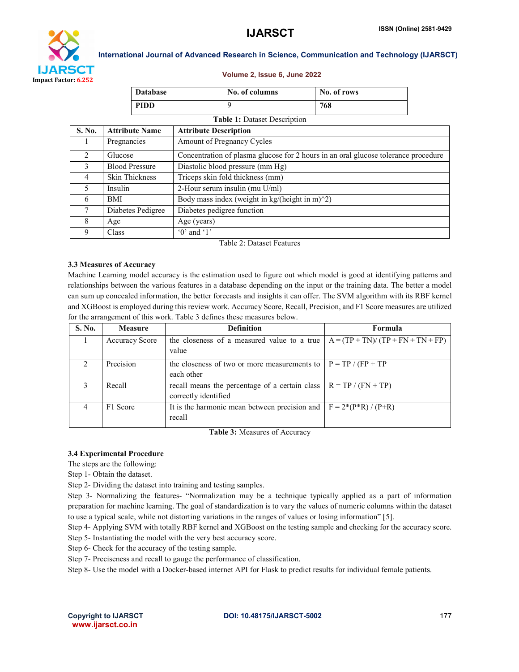

International Journal of Advanced Research in Science, Communication and Technology (IJARSCT)

#### Volume 2, Issue 6, June 2022

|                                     |                       | <b>Database</b> |                                                                                    | No. of columns | No. of rows |  |  |  |
|-------------------------------------|-----------------------|-----------------|------------------------------------------------------------------------------------|----------------|-------------|--|--|--|
|                                     |                       | <b>PIDD</b>     |                                                                                    | 9              | 768         |  |  |  |
| <b>Table 1: Dataset Description</b> |                       |                 |                                                                                    |                |             |  |  |  |
| S. No.                              | <b>Attribute Name</b> |                 | <b>Attribute Description</b>                                                       |                |             |  |  |  |
| Ι.                                  | Pregnancies           |                 | Amount of Pregnancy Cycles                                                         |                |             |  |  |  |
| 2                                   | Glucose               |                 | Concentration of plasma glucose for 2 hours in an oral glucose tolerance procedure |                |             |  |  |  |
| 3                                   | <b>Blood Pressure</b> |                 | Diastolic blood pressure (mm Hg)                                                   |                |             |  |  |  |
| 4                                   | <b>Skin Thickness</b> |                 | Triceps skin fold thickness (mm)                                                   |                |             |  |  |  |
| 5                                   | Insulin               |                 | 2-Hour serum insulin (mu U/ml)                                                     |                |             |  |  |  |
| 6                                   | BMI                   |                 | Body mass index (weight in kg/(height in m) $\frac{2}{2}$ )                        |                |             |  |  |  |
| 7                                   | Diabetes Pedigree     |                 | Diabetes pedigree function                                                         |                |             |  |  |  |
| 8                                   | Age                   |                 | Age (years)                                                                        |                |             |  |  |  |
| 9                                   | Class                 |                 | $0'$ and $1'$                                                                      |                |             |  |  |  |

Table 2: Dataset Features

#### 3.3 Measures of Accuracy

Machine Learning model accuracy is the estimation used to figure out which model is good at identifying patterns and relationships between the various features in a database depending on the input or the training data. The better a model can sum up concealed information, the better forecasts and insights it can offer. The SVM algorithm with its RBF kernel and XGBoost is employed during this review work. Accuracy Score, Recall, Precision, and F1 Score measures are utilized for the arrangement of this work. Table 3 defines these measures below.

| S. No. | <b>Measure</b>        | <b>Definition</b>                                                      | Formula                             |
|--------|-----------------------|------------------------------------------------------------------------|-------------------------------------|
|        | <b>Accuracy Score</b> | the closeness of a measured value to a true<br>value                   | $A = (TP + TN)/(TP + FN + TN + FP)$ |
|        | Precision             | the closeness of two or more measurements to<br>each other             | $P = TP / (FP + TP)$                |
| 3      | Recall                | recall means the percentage of a certain class<br>correctly identified | $R = TP / (FN + TP)$                |
| 4      | F1 Score              | It is the harmonic mean between precision and<br>recall                | $F = 2*(P*R)/(P+R)$                 |

Table 3: Measures of Accuracy

#### 3.4 Experimental Procedure

The steps are the following:

Step 1- Obtain the dataset.

Step 2- Dividing the dataset into training and testing samples.

Step 3- Normalizing the features- "Normalization may be a technique typically applied as a part of information preparation for machine learning. The goal of standardization is to vary the values of numeric columns within the dataset to use a typical scale, while not distorting variations in the ranges of values or losing information" [5].

Step 4- Applying SVM with totally RBF kernel and XGBoost on the testing sample and checking for the accuracy score. Step 5- Instantiating the model with the very best accuracy score.

Step 6- Check for the accuracy of the testing sample.

Step 7- Preciseness and recall to gauge the performance of classification.

Step 8- Use the model with a Docker-based internet API for Flask to predict results for individual female patients.